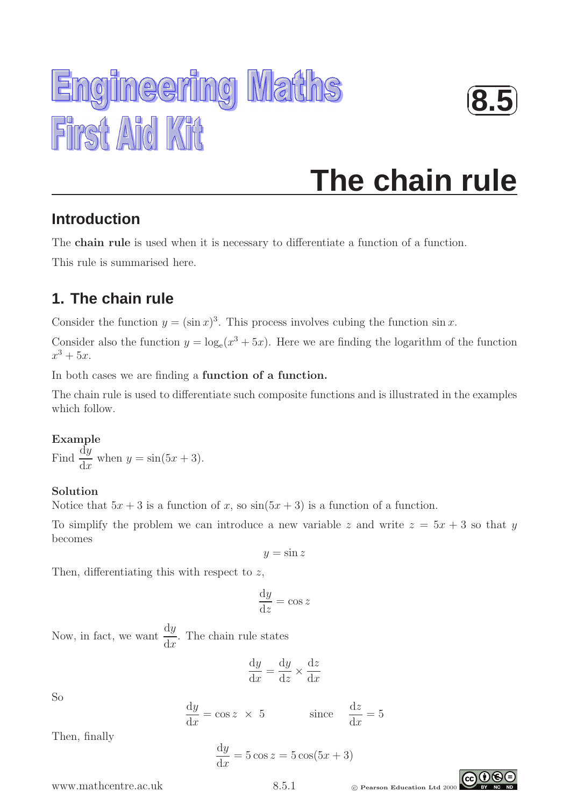



# **The chain rule**

## **Introduction**

The **chain rule** is used when it is necessary to differentiate a function of a function.

This rule is summarised here.

## **1. The chain rule**

Consider the function  $y = (\sin x)^3$ . This process involves cubing the function  $\sin x$ .

Consider also the function  $y = \log_e(x^3 + 5x)$ . Here we are finding the logarithm of the function  $x^3 + 5x$ .

In both cases we are finding a function of a function.

The chain rule is used to differentiate such composite functions and is illustrated in the examples which follow.

#### Example Find  $\frac{dy}{dx}$  $dx$ when  $y = \sin(5x + 3)$ .

### Solution

Notice that  $5x + 3$  is a function of x, so  $\sin(5x + 3)$  is a function of a function.

To simplify the problem we can introduce a new variable z and write  $z = 5x + 3$  so that y becomes

 $y = \sin z$ 

Then, differentiating this with respect to  $z$ ,

$$
\frac{\mathrm{d}y}{\mathrm{d}z} = \cos z
$$

Now, in fact, we want  $\frac{dy}{dx}$  $dx$ . The chain rule states

$$
\frac{\mathrm{d}y}{\mathrm{d}x} = \frac{\mathrm{d}y}{\mathrm{d}z} \times \frac{\mathrm{d}z}{\mathrm{d}x}
$$

So

$$
\frac{dy}{dx} = \cos z \times 5 \qquad \text{since } \frac{dz}{dx} = 5
$$

Then, finally

$$
\frac{\mathrm{d}y}{\mathrm{d}x} = 5\cos z = 5\cos(5x + 3)
$$

WWW.mathcentre.ac.uk 8.5.1 © Pearson Education Ltd 2000